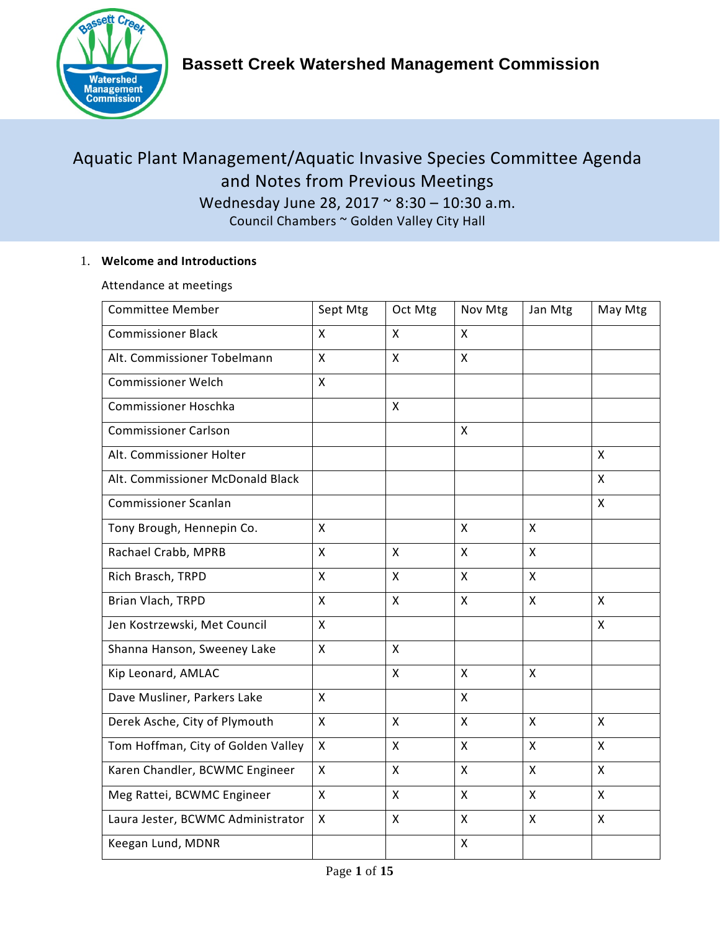

# Aquatic Plant Management/Aquatic Invasive Species Committee Agenda and Notes from Previous Meetings Wednesday June 28, 2017 ~ 8:30 – 10:30 a.m.

Council Chambers ~ Golden Valley City Hall

## 1. **Welcome and Introductions**

Attendance at meetings

| <b>Committee Member</b>            | Sept Mtg     | Oct Mtg            | Nov Mtg            | Jan Mtg                   | May Mtg      |
|------------------------------------|--------------|--------------------|--------------------|---------------------------|--------------|
| <b>Commissioner Black</b>          | X            | $\sf X$            | $\mathsf{x}$       |                           |              |
| Alt. Commissioner Tobelmann        | X            | $\mathsf{x}$       | $\mathsf{x}$       |                           |              |
| <b>Commissioner Welch</b>          | X            |                    |                    |                           |              |
| Commissioner Hoschka               |              | X                  |                    |                           |              |
| <b>Commissioner Carlson</b>        |              |                    | X                  |                           |              |
| Alt. Commissioner Holter           |              |                    |                    |                           | X            |
| Alt. Commissioner McDonald Black   |              |                    |                    |                           | X            |
| <b>Commissioner Scanlan</b>        |              |                    |                    |                           | X            |
| Tony Brough, Hennepin Co.          | X            |                    | $\mathsf{x}$       | $\boldsymbol{\mathsf{X}}$ |              |
| Rachael Crabb, MPRB                | X            | $\sf X$            | X                  | $\boldsymbol{\mathsf{X}}$ |              |
| Rich Brasch, TRPD                  | X            | X                  | $\mathsf{x}$       | $\boldsymbol{\mathsf{X}}$ |              |
| Brian Vlach, TRPD                  | X            | X                  | X                  | $\boldsymbol{\mathsf{X}}$ | $\mathsf{X}$ |
| Jen Kostrzewski, Met Council       | $\mathsf{X}$ |                    |                    |                           | X            |
| Shanna Hanson, Sweeney Lake        | X            | $\pmb{\mathsf{X}}$ |                    |                           |              |
| Kip Leonard, AMLAC                 |              | X                  | $\mathsf{X}$       | $\mathsf{X}$              |              |
| Dave Musliner, Parkers Lake        | $\mathsf{x}$ |                    | X                  |                           |              |
| Derek Asche, City of Plymouth      | $\mathsf{x}$ | $\mathsf{x}$       | $\mathsf{x}$       | $\boldsymbol{\mathsf{X}}$ | $\mathsf{X}$ |
| Tom Hoffman, City of Golden Valley | $\mathsf{x}$ | X                  | $\pmb{\mathsf{X}}$ | $\pmb{\mathsf{X}}$        | $\mathsf{x}$ |
| Karen Chandler, BCWMC Engineer     | X            | X                  | $\pmb{\mathsf{X}}$ | $\pmb{\mathsf{X}}$        | X            |
| Meg Rattei, BCWMC Engineer         | X            | X                  | X                  | $\boldsymbol{\mathsf{X}}$ | X            |
| Laura Jester, BCWMC Administrator  | X            | X                  | X                  | $\pmb{\mathsf{X}}$        | X            |
| Keegan Lund, MDNR                  |              |                    | $\mathsf{X}$       |                           |              |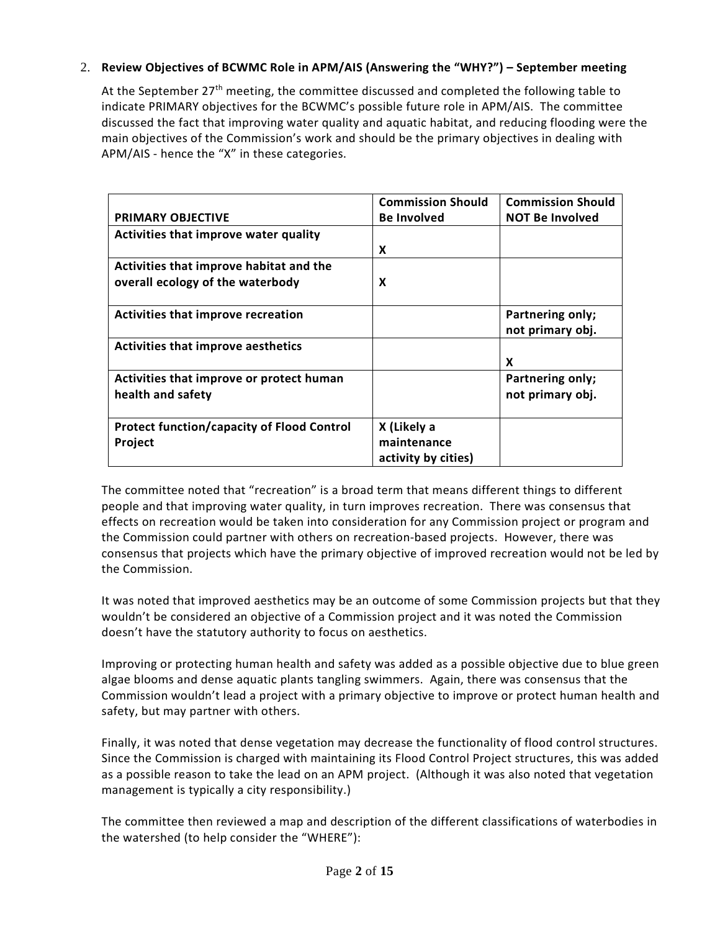## 2. **Review Objectives of BCWMC Role in APM/AIS (Answering the "WHY?") – September meeting**

At the September 27<sup>th</sup> meeting, the committee discussed and completed the following table to indicate PRIMARY objectives for the BCWMC's possible future role in APM/AIS. The committee discussed the fact that improving water quality and aquatic habitat, and reducing flooding were the main objectives of the Commission's work and should be the primary objectives in dealing with APM/AIS - hence the "X" in these categories.

|                                                                             | <b>Commission Should</b>                          | <b>Commission Should</b>             |
|-----------------------------------------------------------------------------|---------------------------------------------------|--------------------------------------|
| <b>PRIMARY OBJECTIVE</b>                                                    | <b>Be Involved</b>                                | <b>NOT Be Involved</b>               |
| Activities that improve water quality                                       |                                                   |                                      |
|                                                                             | X                                                 |                                      |
| Activities that improve habitat and the<br>overall ecology of the waterbody | X                                                 |                                      |
| <b>Activities that improve recreation</b>                                   |                                                   | Partnering only;<br>not primary obj. |
| <b>Activities that improve aesthetics</b>                                   |                                                   | X                                    |
| Activities that improve or protect human<br>health and safety               |                                                   | Partnering only;<br>not primary obj. |
| <b>Protect function/capacity of Flood Control</b><br>Project                | X (Likely a<br>maintenance<br>activity by cities) |                                      |

The committee noted that "recreation" is a broad term that means different things to different people and that improving water quality, in turn improves recreation. There was consensus that effects on recreation would be taken into consideration for any Commission project or program and the Commission could partner with others on recreation-based projects. However, there was consensus that projects which have the primary objective of improved recreation would not be led by the Commission.

It was noted that improved aesthetics may be an outcome of some Commission projects but that they wouldn't be considered an objective of a Commission project and it was noted the Commission doesn't have the statutory authority to focus on aesthetics.

Improving or protecting human health and safety was added as a possible objective due to blue green algae blooms and dense aquatic plants tangling swimmers. Again, there was consensus that the Commission wouldn't lead a project with a primary objective to improve or protect human health and safety, but may partner with others.

Finally, it was noted that dense vegetation may decrease the functionality of flood control structures. Since the Commission is charged with maintaining its Flood Control Project structures, this was added as a possible reason to take the lead on an APM project. (Although it was also noted that vegetation management is typically a city responsibility.)

The committee then reviewed a map and description of the different classifications of waterbodies in the watershed (to help consider the "WHERE"):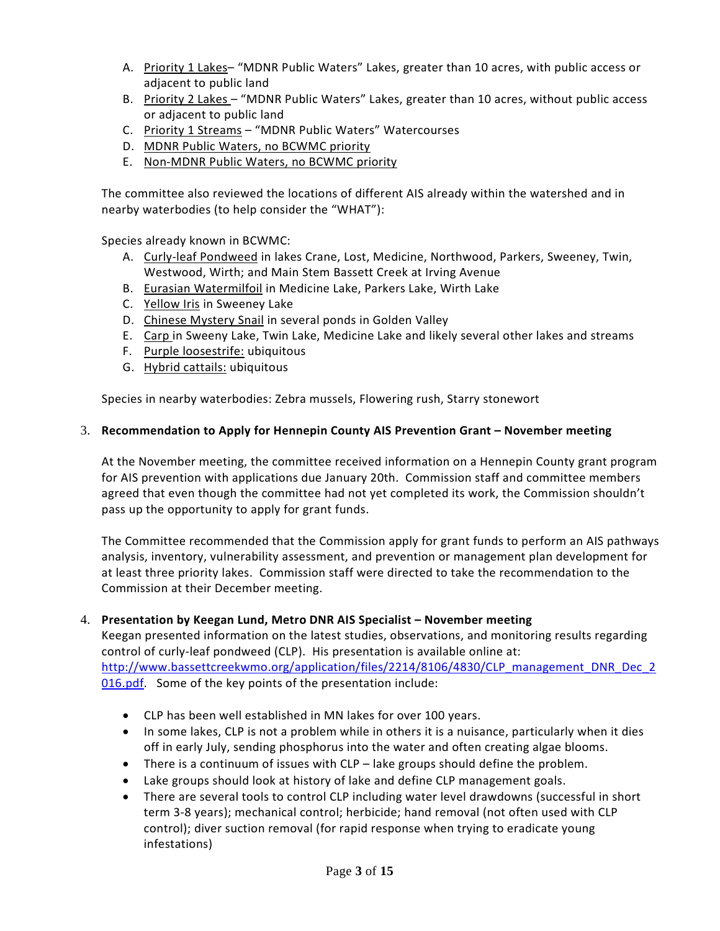- A. Priority 1 Lakes– "MDNR Public Waters" Lakes, greater than 10 acres, with public access or adjacent to public land
- B. Priority 2 Lakes "MDNR Public Waters" Lakes, greater than 10 acres, without public access or adjacent to public land
- C. Priority 1 Streams "MDNR Public Waters" Watercourses
- D. MDNR Public Waters, no BCWMC priority
- E. Non-MDNR Public Waters, no BCWMC priority

The committee also reviewed the locations of different AIS already within the watershed and in nearby waterbodies (to help consider the "WHAT"):

Species already known in BCWMC:

- A. Curly-leaf Pondweed in lakes Crane, Lost, Medicine, Northwood, Parkers, Sweeney, Twin, Westwood, Wirth; and Main Stem Bassett Creek at Irving Avenue
- B. Eurasian Watermilfoil in Medicine Lake, Parkers Lake, Wirth Lake
- C. Yellow Iris in Sweeney Lake
- D. Chinese Mystery Snail in several ponds in Golden Valley
- E. Carp in Sweeny Lake, Twin Lake, Medicine Lake and likely several other lakes and streams
- F. Purple loosestrife: ubiquitous
- G. Hybrid cattails: ubiquitous

Species in nearby waterbodies: Zebra mussels, Flowering rush, Starry stonewort

### 3. **Recommendation to Apply for Hennepin County AIS Prevention Grant – November meeting**

At the November meeting, the committee received information on a Hennepin County grant program for AIS prevention with applications due January 20th. Commission staff and committee members agreed that even though the committee had not yet completed its work, the Commission shouldn't pass up the opportunity to apply for grant funds.

The Committee recommended that the Commission apply for grant funds to perform an AIS pathways analysis, inventory, vulnerability assessment, and prevention or management plan development for at least three priority lakes. Commission staff were directed to take the recommendation to the Commission at their December meeting.

### 4. **Presentation by Keegan Lund, Metro DNR AIS Specialist – November meeting**

Keegan presented information on the latest studies, observations, and monitoring results regarding control of curly-leaf pondweed (CLP). His presentation is available online at: [http://www.bassettcreekwmo.org/application/files/2214/8106/4830/CLP\\_management\\_DNR\\_Dec\\_2](http://www.bassettcreekwmo.org/application/files/2214/8106/4830/CLP_management_DNR_Dec_2016.pdf) [016.pdf.](http://www.bassettcreekwmo.org/application/files/2214/8106/4830/CLP_management_DNR_Dec_2016.pdf) Some of the key points of the presentation include:

- CLP has been well established in MN lakes for over 100 years.
- In some lakes, CLP is not a problem while in others it is a nuisance, particularly when it dies off in early July, sending phosphorus into the water and often creating algae blooms.
- There is a continuum of issues with CLP lake groups should define the problem.
- Lake groups should look at history of lake and define CLP management goals.
- There are several tools to control CLP including water level drawdowns (successful in short term 3-8 years); mechanical control; herbicide; hand removal (not often used with CLP control); diver suction removal (for rapid response when trying to eradicate young infestations)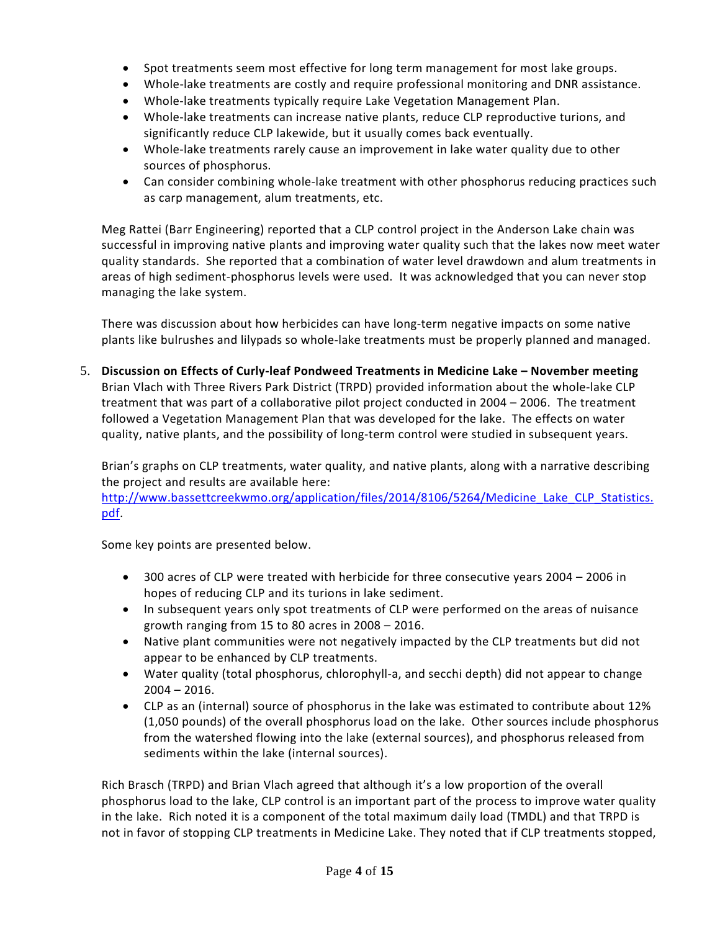- Spot treatments seem most effective for long term management for most lake groups.
- Whole-lake treatments are costly and require professional monitoring and DNR assistance.
- Whole-lake treatments typically require Lake Vegetation Management Plan.
- Whole-lake treatments can increase native plants, reduce CLP reproductive turions, and significantly reduce CLP lakewide, but it usually comes back eventually.
- Whole-lake treatments rarely cause an improvement in lake water quality due to other sources of phosphorus.
- Can consider combining whole-lake treatment with other phosphorus reducing practices such as carp management, alum treatments, etc.

Meg Rattei (Barr Engineering) reported that a CLP control project in the Anderson Lake chain was successful in improving native plants and improving water quality such that the lakes now meet water quality standards. She reported that a combination of water level drawdown and alum treatments in areas of high sediment-phosphorus levels were used. It was acknowledged that you can never stop managing the lake system.

There was discussion about how herbicides can have long-term negative impacts on some native plants like bulrushes and lilypads so whole-lake treatments must be properly planned and managed.

5. **Discussion on Effects of Curly-leaf Pondweed Treatments in Medicine Lake – November meeting** Brian Vlach with Three Rivers Park District (TRPD) provided information about the whole-lake CLP treatment that was part of a collaborative pilot project conducted in 2004 – 2006. The treatment followed a Vegetation Management Plan that was developed for the lake. The effects on water quality, native plants, and the possibility of long-term control were studied in subsequent years.

Brian's graphs on CLP treatments, water quality, and native plants, along with a narrative describing the project and results are available here:

[http://www.bassettcreekwmo.org/application/files/2014/8106/5264/Medicine\\_Lake\\_CLP\\_Statistics.](http://www.bassettcreekwmo.org/application/files/2014/8106/5264/Medicine_Lake_CLP_Statistics.pdf) [pdf.](http://www.bassettcreekwmo.org/application/files/2014/8106/5264/Medicine_Lake_CLP_Statistics.pdf)

Some key points are presented below.

- 300 acres of CLP were treated with herbicide for three consecutive years 2004 2006 in hopes of reducing CLP and its turions in lake sediment.
- In subsequent years only spot treatments of CLP were performed on the areas of nuisance growth ranging from 15 to 80 acres in 2008 – 2016.
- Native plant communities were not negatively impacted by the CLP treatments but did not appear to be enhanced by CLP treatments.
- Water quality (total phosphorus, chlorophyll-a, and secchi depth) did not appear to change  $2004 - 2016$ .
- CLP as an (internal) source of phosphorus in the lake was estimated to contribute about 12% (1,050 pounds) of the overall phosphorus load on the lake. Other sources include phosphorus from the watershed flowing into the lake (external sources), and phosphorus released from sediments within the lake (internal sources).

Rich Brasch (TRPD) and Brian Vlach agreed that although it's a low proportion of the overall phosphorus load to the lake, CLP control is an important part of the process to improve water quality in the lake. Rich noted it is a component of the total maximum daily load (TMDL) and that TRPD is not in favor of stopping CLP treatments in Medicine Lake. They noted that if CLP treatments stopped,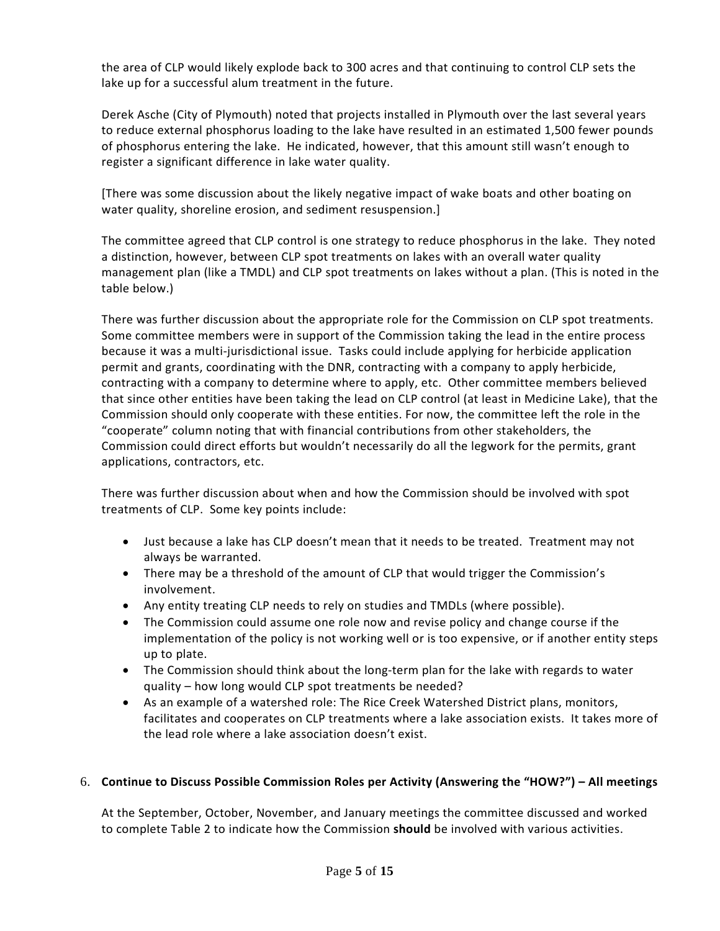the area of CLP would likely explode back to 300 acres and that continuing to control CLP sets the lake up for a successful alum treatment in the future.

Derek Asche (City of Plymouth) noted that projects installed in Plymouth over the last several years to reduce external phosphorus loading to the lake have resulted in an estimated 1,500 fewer pounds of phosphorus entering the lake. He indicated, however, that this amount still wasn't enough to register a significant difference in lake water quality.

[There was some discussion about the likely negative impact of wake boats and other boating on water quality, shoreline erosion, and sediment resuspension.]

The committee agreed that CLP control is one strategy to reduce phosphorus in the lake. They noted a distinction, however, between CLP spot treatments on lakes with an overall water quality management plan (like a TMDL) and CLP spot treatments on lakes without a plan. (This is noted in the table below.)

There was further discussion about the appropriate role for the Commission on CLP spot treatments. Some committee members were in support of the Commission taking the lead in the entire process because it was a multi-jurisdictional issue. Tasks could include applying for herbicide application permit and grants, coordinating with the DNR, contracting with a company to apply herbicide, contracting with a company to determine where to apply, etc. Other committee members believed that since other entities have been taking the lead on CLP control (at least in Medicine Lake), that the Commission should only cooperate with these entities. For now, the committee left the role in the "cooperate" column noting that with financial contributions from other stakeholders, the Commission could direct efforts but wouldn't necessarily do all the legwork for the permits, grant applications, contractors, etc.

There was further discussion about when and how the Commission should be involved with spot treatments of CLP. Some key points include:

- Just because a lake has CLP doesn't mean that it needs to be treated. Treatment may not always be warranted.
- There may be a threshold of the amount of CLP that would trigger the Commission's involvement.
- Any entity treating CLP needs to rely on studies and TMDLs (where possible).
- The Commission could assume one role now and revise policy and change course if the implementation of the policy is not working well or is too expensive, or if another entity steps up to plate.
- The Commission should think about the long-term plan for the lake with regards to water quality – how long would CLP spot treatments be needed?
- As an example of a watershed role: The Rice Creek Watershed District plans, monitors, facilitates and cooperates on CLP treatments where a lake association exists. It takes more of the lead role where a lake association doesn't exist.

## 6. **Continue to Discuss Possible Commission Roles per Activity (Answering the "HOW?") – All meetings**

At the September, October, November, and January meetings the committee discussed and worked to complete Table 2 to indicate how the Commission **should** be involved with various activities.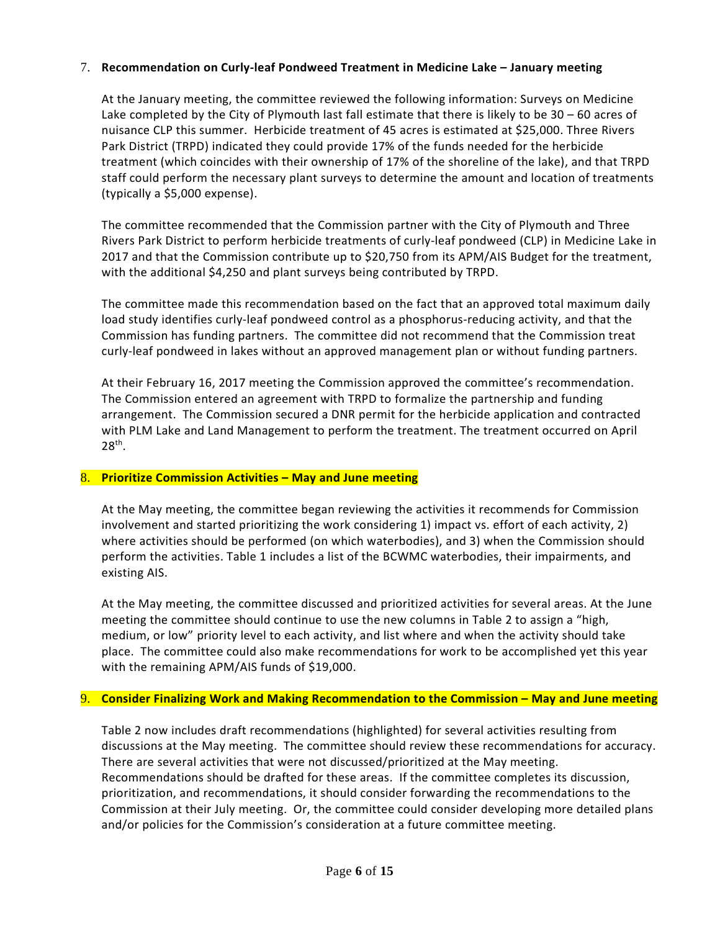## 7. **Recommendation on Curly-leaf Pondweed Treatment in Medicine Lake – January meeting**

At the January meeting, the committee reviewed the following information: Surveys on Medicine Lake completed by the City of Plymouth last fall estimate that there is likely to be 30 – 60 acres of nuisance CLP this summer. Herbicide treatment of 45 acres is estimated at \$25,000. Three Rivers Park District (TRPD) indicated they could provide 17% of the funds needed for the herbicide treatment (which coincides with their ownership of 17% of the shoreline of the lake), and that TRPD staff could perform the necessary plant surveys to determine the amount and location of treatments (typically a \$5,000 expense).

The committee recommended that the Commission partner with the City of Plymouth and Three Rivers Park District to perform herbicide treatments of curly-leaf pondweed (CLP) in Medicine Lake in 2017 and that the Commission contribute up to \$20,750 from its APM/AIS Budget for the treatment, with the additional \$4,250 and plant surveys being contributed by TRPD.

The committee made this recommendation based on the fact that an approved total maximum daily load study identifies curly-leaf pondweed control as a phosphorus-reducing activity, and that the Commission has funding partners. The committee did not recommend that the Commission treat curly-leaf pondweed in lakes without an approved management plan or without funding partners.

At their February 16, 2017 meeting the Commission approved the committee's recommendation. The Commission entered an agreement with TRPD to formalize the partnership and funding arrangement. The Commission secured a DNR permit for the herbicide application and contracted with PLM Lake and Land Management to perform the treatment. The treatment occurred on April 28th.

### 8. **Prioritize Commission Activities – May and June meeting**

At the May meeting, the committee began reviewing the activities it recommends for Commission involvement and started prioritizing the work considering 1) impact vs. effort of each activity, 2) where activities should be performed (on which waterbodies), and 3) when the Commission should perform the activities. Table 1 includes a list of the BCWMC waterbodies, their impairments, and existing AIS.

At the May meeting, the committee discussed and prioritized activities for several areas. At the June meeting the committee should continue to use the new columns in Table 2 to assign a "high, medium, or low" priority level to each activity, and list where and when the activity should take place. The committee could also make recommendations for work to be accomplished yet this year with the remaining APM/AIS funds of \$19,000.

### 9. **Consider Finalizing Work and Making Recommendation to the Commission – May and June meeting**

Table 2 now includes draft recommendations (highlighted) for several activities resulting from discussions at the May meeting. The committee should review these recommendations for accuracy. There are several activities that were not discussed/prioritized at the May meeting. Recommendations should be drafted for these areas. If the committee completes its discussion, prioritization, and recommendations, it should consider forwarding the recommendations to the Commission at their July meeting. Or, the committee could consider developing more detailed plans and/or policies for the Commission's consideration at a future committee meeting.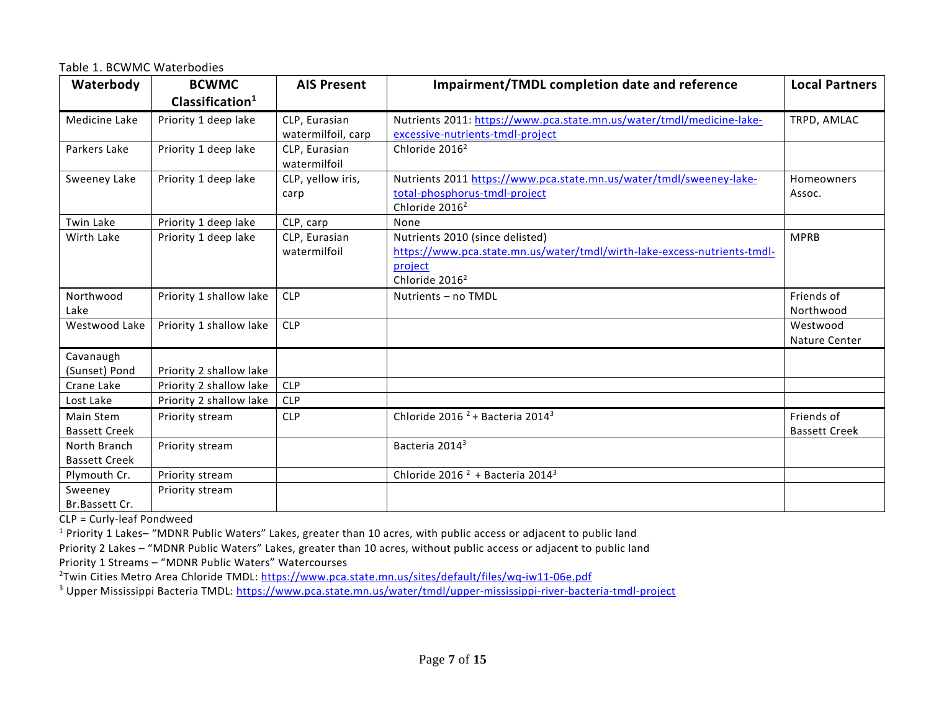Table 1. BCWMC Waterbodies

| Waterbody            | <b>BCWMC</b>               | <b>AIS Present</b>            | Impairment/TMDL completion date and reference                            | <b>Local Partners</b> |
|----------------------|----------------------------|-------------------------------|--------------------------------------------------------------------------|-----------------------|
|                      | Clasification <sup>1</sup> |                               |                                                                          |                       |
| Medicine Lake        | Priority 1 deep lake       | CLP, Eurasian                 | Nutrients 2011: https://www.pca.state.mn.us/water/tmdl/medicine-lake-    | TRPD, AMLAC           |
|                      |                            | watermilfoil, carp            | excessive-nutrients-tmdl-project                                         |                       |
| Parkers Lake         | Priority 1 deep lake       | CLP, Eurasian<br>watermilfoil | Chloride 2016 <sup>2</sup>                                               |                       |
| Sweeney Lake         | Priority 1 deep lake       | CLP, yellow iris,             | Nutrients 2011 https://www.pca.state.mn.us/water/tmdl/sweeney-lake-      | Homeowners            |
|                      |                            | carp                          | total-phosphorus-tmdl-project                                            | Assoc.                |
|                      |                            |                               | Chloride 2016 <sup>2</sup>                                               |                       |
| Twin Lake            | Priority 1 deep lake       | CLP, carp                     | None                                                                     |                       |
| Wirth Lake           | Priority 1 deep lake       | CLP, Eurasian                 | Nutrients 2010 (since delisted)                                          | <b>MPRB</b>           |
|                      |                            | watermilfoil                  | https://www.pca.state.mn.us/water/tmdl/wirth-lake-excess-nutrients-tmdl- |                       |
|                      |                            |                               | project                                                                  |                       |
|                      |                            |                               | Chloride 2016 <sup>2</sup>                                               |                       |
| Northwood            | Priority 1 shallow lake    | <b>CLP</b>                    | Nutrients - no TMDL                                                      | Friends of            |
| Lake                 |                            |                               |                                                                          | Northwood             |
| Westwood Lake        | Priority 1 shallow lake    | <b>CLP</b>                    |                                                                          | Westwood              |
|                      |                            |                               |                                                                          | Nature Center         |
| Cavanaugh            |                            |                               |                                                                          |                       |
| (Sunset) Pond        | Priority 2 shallow lake    |                               |                                                                          |                       |
| Crane Lake           | Priority 2 shallow lake    | <b>CLP</b>                    |                                                                          |                       |
| Lost Lake            | Priority 2 shallow lake    | <b>CLP</b>                    |                                                                          |                       |
| Main Stem            | Priority stream            | <b>CLP</b>                    | Chloride 2016 <sup><math>2</math></sup> + Bacteria 2014 <sup>3</sup>     | Friends of            |
| <b>Bassett Creek</b> |                            |                               |                                                                          | <b>Bassett Creek</b>  |
| North Branch         | Priority stream            |                               | Bacteria 2014 <sup>3</sup>                                               |                       |
| <b>Bassett Creek</b> |                            |                               |                                                                          |                       |
| Plymouth Cr.         | Priority stream            |                               | Chloride 2016 <sup>2</sup> + Bacteria 2014 <sup>3</sup>                  |                       |
| Sweeney              | Priority stream            |                               |                                                                          |                       |
| Br.Bassett Cr.       |                            |                               |                                                                          |                       |

CLP = Curly-leaf Pondweed

<sup>1</sup> Priority 1 Lakes– "MDNR Public Waters" Lakes, greater than 10 acres, with public access or adjacent to public land

Priority 2 Lakes – "MDNR Public Waters" Lakes, greater than 10 acres, without public access or adjacent to public land

Priority 1 Streams – "MDNR Public Waters" Watercourses

<sup>2</sup>Twin Cities Metro Area Chloride TMDL:<https://www.pca.state.mn.us/sites/default/files/wq-iw11-06e.pdf>

<sup>3</sup> Upper Mississippi Bacteria TMDL:<https://www.pca.state.mn.us/water/tmdl/upper-mississippi-river-bacteria-tmdl-project>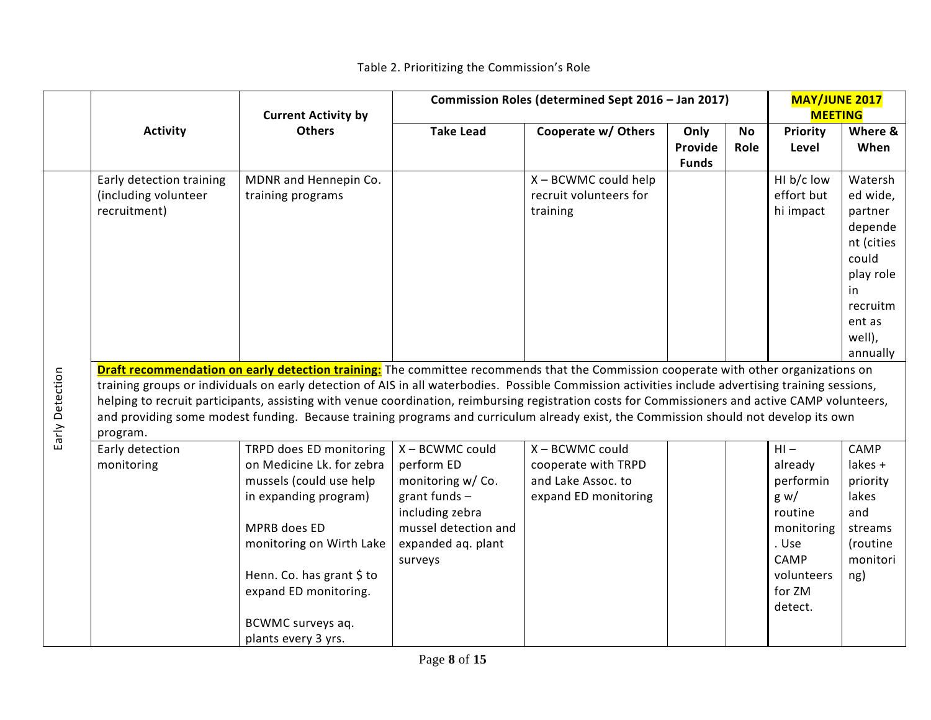|                 |                          |                                                                                                                                                    | Commission Roles (determined Sept 2016 - Jan 2017) |                        |              |           | <b>MAY/JUNE 2017</b> |                |
|-----------------|--------------------------|----------------------------------------------------------------------------------------------------------------------------------------------------|----------------------------------------------------|------------------------|--------------|-----------|----------------------|----------------|
|                 |                          | <b>Current Activity by</b>                                                                                                                         |                                                    |                        |              |           |                      | <b>MEETING</b> |
|                 | <b>Activity</b>          | <b>Others</b>                                                                                                                                      | <b>Take Lead</b>                                   | Cooperate w/ Others    | Only         | <b>No</b> | Priority             | Where &        |
|                 |                          |                                                                                                                                                    |                                                    |                        | Provide      | Role      | Level                | When           |
|                 |                          |                                                                                                                                                    |                                                    |                        | <b>Funds</b> |           |                      |                |
|                 | Early detection training | MDNR and Hennepin Co.                                                                                                                              |                                                    | X - BCWMC could help   |              |           | HI b/c low           | Watersh        |
|                 | (including volunteer     | training programs                                                                                                                                  |                                                    | recruit volunteers for |              |           | effort but           | ed wide,       |
|                 | recruitment)             |                                                                                                                                                    |                                                    | training               |              |           | hi impact            | partner        |
|                 |                          |                                                                                                                                                    |                                                    |                        |              |           |                      | depende        |
|                 |                          |                                                                                                                                                    |                                                    |                        |              |           |                      | nt (cities     |
|                 |                          |                                                                                                                                                    |                                                    |                        |              |           |                      | could          |
|                 |                          |                                                                                                                                                    |                                                    |                        |              |           |                      | play role      |
|                 |                          |                                                                                                                                                    |                                                    |                        |              |           |                      | in.            |
|                 |                          |                                                                                                                                                    |                                                    |                        |              |           |                      | recruitm       |
|                 |                          |                                                                                                                                                    |                                                    |                        |              |           |                      | ent as         |
|                 |                          |                                                                                                                                                    |                                                    |                        |              |           |                      | well),         |
|                 |                          |                                                                                                                                                    |                                                    |                        |              |           |                      | annually       |
|                 |                          | Draft recommendation on early detection training: The committee recommends that the Commission cooperate with other organizations on               |                                                    |                        |              |           |                      |                |
|                 |                          | training groups or individuals on early detection of AIS in all waterbodies. Possible Commission activities include advertising training sessions, |                                                    |                        |              |           |                      |                |
|                 |                          | helping to recruit participants, assisting with venue coordination, reimbursing registration costs for Commissioners and active CAMP volunteers,   |                                                    |                        |              |           |                      |                |
| Early Detection |                          | and providing some modest funding. Because training programs and curriculum already exist, the Commission should not develop its own               |                                                    |                        |              |           |                      |                |
|                 | program.                 |                                                                                                                                                    |                                                    |                        |              |           |                      |                |
|                 | Early detection          | TRPD does ED monitoring                                                                                                                            | X - BCWMC could                                    | X - BCWMC could        |              |           | $HI -$               | CAMP           |
|                 | monitoring               | on Medicine Lk. for zebra                                                                                                                          | perform ED                                         | cooperate with TRPD    |              |           | already              | lakes +        |
|                 |                          | mussels (could use help                                                                                                                            | monitoring w/Co.                                   | and Lake Assoc. to     |              |           | performin            | priority       |
|                 |                          | in expanding program)                                                                                                                              | grant funds $-$                                    | expand ED monitoring   |              |           | g w/                 | lakes          |
|                 |                          |                                                                                                                                                    | including zebra                                    |                        |              |           | routine              | and            |
|                 |                          | MPRB does ED                                                                                                                                       | mussel detection and                               |                        |              |           | monitoring           | streams        |
|                 |                          | monitoring on Wirth Lake                                                                                                                           | expanded aq. plant                                 |                        |              |           | . Use                | (routine       |
|                 |                          |                                                                                                                                                    | surveys                                            |                        |              |           | CAMP                 | monitori       |
|                 |                          | Henn. Co. has grant \$ to                                                                                                                          |                                                    |                        |              |           | volunteers           | ng)            |
|                 |                          | expand ED monitoring.                                                                                                                              |                                                    |                        |              |           | for ZM               |                |
|                 |                          |                                                                                                                                                    |                                                    |                        |              |           | detect.              |                |
|                 |                          | BCWMC surveys aq.                                                                                                                                  |                                                    |                        |              |           |                      |                |
|                 |                          | plants every 3 yrs.                                                                                                                                |                                                    |                        |              |           |                      |                |

# Table 2. Prioritizing the Commission's Role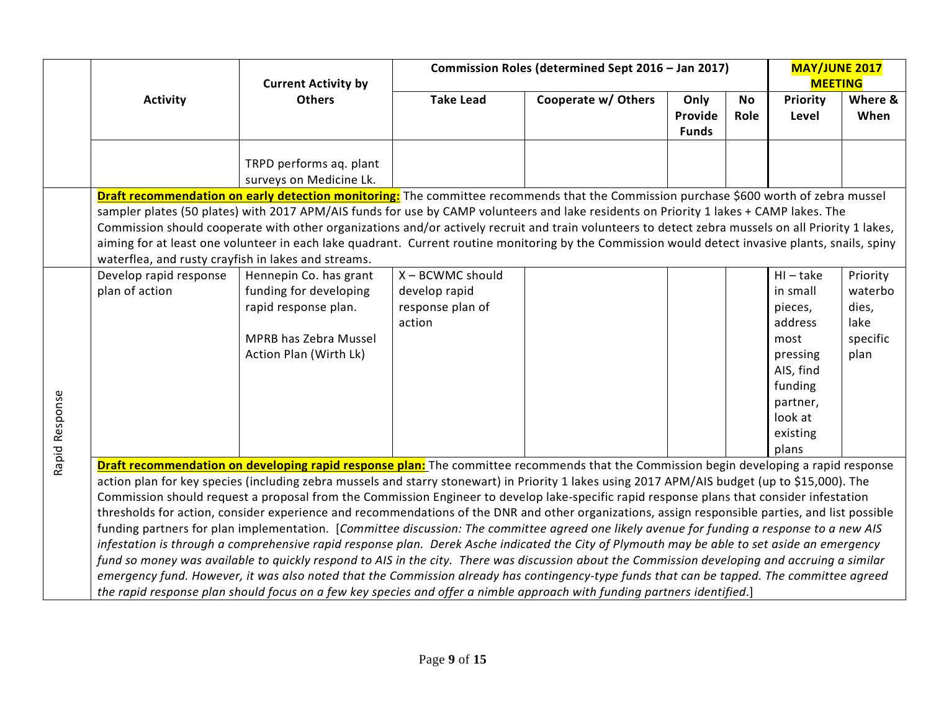|                | Commission Roles (determined Sept 2016 - Jan 2017)<br><b>Current Activity by</b> |                                                                                                                                                                                                                                                                                                                                                                                                                                                                                                                                                                                                                                                                                                                                                                                                                                                                                                                                                                                                                                                                                                                                                                                                                                                                                                                      |                                                                 |                     |                                 |                   | <b>MAY/JUNE 2017</b><br><b>MEETING</b>                                                                                                |                                                          |
|----------------|----------------------------------------------------------------------------------|----------------------------------------------------------------------------------------------------------------------------------------------------------------------------------------------------------------------------------------------------------------------------------------------------------------------------------------------------------------------------------------------------------------------------------------------------------------------------------------------------------------------------------------------------------------------------------------------------------------------------------------------------------------------------------------------------------------------------------------------------------------------------------------------------------------------------------------------------------------------------------------------------------------------------------------------------------------------------------------------------------------------------------------------------------------------------------------------------------------------------------------------------------------------------------------------------------------------------------------------------------------------------------------------------------------------|-----------------------------------------------------------------|---------------------|---------------------------------|-------------------|---------------------------------------------------------------------------------------------------------------------------------------|----------------------------------------------------------|
|                | <b>Activity</b>                                                                  | <b>Others</b>                                                                                                                                                                                                                                                                                                                                                                                                                                                                                                                                                                                                                                                                                                                                                                                                                                                                                                                                                                                                                                                                                                                                                                                                                                                                                                        | <b>Take Lead</b>                                                | Cooperate w/ Others | Only<br>Provide<br><b>Funds</b> | <b>No</b><br>Role | Priority<br>Level                                                                                                                     | Where &<br>When                                          |
|                |                                                                                  | TRPD performs aq. plant<br>surveys on Medicine Lk.                                                                                                                                                                                                                                                                                                                                                                                                                                                                                                                                                                                                                                                                                                                                                                                                                                                                                                                                                                                                                                                                                                                                                                                                                                                                   |                                                                 |                     |                                 |                   |                                                                                                                                       |                                                          |
|                |                                                                                  | Draft recommendation on early detection monitoring: The committee recommends that the Commission purchase \$600 worth of zebra mussel<br>sampler plates (50 plates) with 2017 APM/AIS funds for use by CAMP volunteers and lake residents on Priority 1 lakes + CAMP lakes. The                                                                                                                                                                                                                                                                                                                                                                                                                                                                                                                                                                                                                                                                                                                                                                                                                                                                                                                                                                                                                                      |                                                                 |                     |                                 |                   |                                                                                                                                       |                                                          |
|                | waterflea, and rusty crayfish in lakes and streams.                              | Commission should cooperate with other organizations and/or actively recruit and train volunteers to detect zebra mussels on all Priority 1 lakes,<br>aiming for at least one volunteer in each lake quadrant. Current routine monitoring by the Commission would detect invasive plants, snails, spiny                                                                                                                                                                                                                                                                                                                                                                                                                                                                                                                                                                                                                                                                                                                                                                                                                                                                                                                                                                                                              |                                                                 |                     |                                 |                   |                                                                                                                                       |                                                          |
| Rapid Response | Develop rapid response<br>plan of action                                         | Hennepin Co. has grant<br>funding for developing<br>rapid response plan.<br>MPRB has Zebra Mussel<br>Action Plan (Wirth Lk)                                                                                                                                                                                                                                                                                                                                                                                                                                                                                                                                                                                                                                                                                                                                                                                                                                                                                                                                                                                                                                                                                                                                                                                          | X - BCWMC should<br>develop rapid<br>response plan of<br>action |                     |                                 |                   | $HI - take$<br>in small<br>pieces,<br>address<br>most<br>pressing<br>AIS, find<br>funding<br>partner,<br>look at<br>existing<br>plans | Priority<br>waterbo<br>dies,<br>lake<br>specific<br>plan |
|                |                                                                                  | Draft recommendation on developing rapid response plan: The committee recommends that the Commission begin developing a rapid response<br>action plan for key species (including zebra mussels and starry stonewart) in Priority 1 lakes using 2017 APM/AIS budget (up to \$15,000). The<br>Commission should request a proposal from the Commission Engineer to develop lake-specific rapid response plans that consider infestation<br>thresholds for action, consider experience and recommendations of the DNR and other organizations, assign responsible parties, and list possible<br>funding partners for plan implementation. [Committee discussion: The committee agreed one likely avenue for funding a response to a new AIS<br>infestation is through a comprehensive rapid response plan. Derek Asche indicated the City of Plymouth may be able to set aside an emergency<br>fund so money was available to quickly respond to AIS in the city. There was discussion about the Commission developing and accruing a similar<br>emergency fund. However, it was also noted that the Commission already has contingency-type funds that can be tapped. The committee agreed<br>the rapid response plan should focus on a few key species and offer a nimble approach with funding partners identified.] |                                                                 |                     |                                 |                   |                                                                                                                                       |                                                          |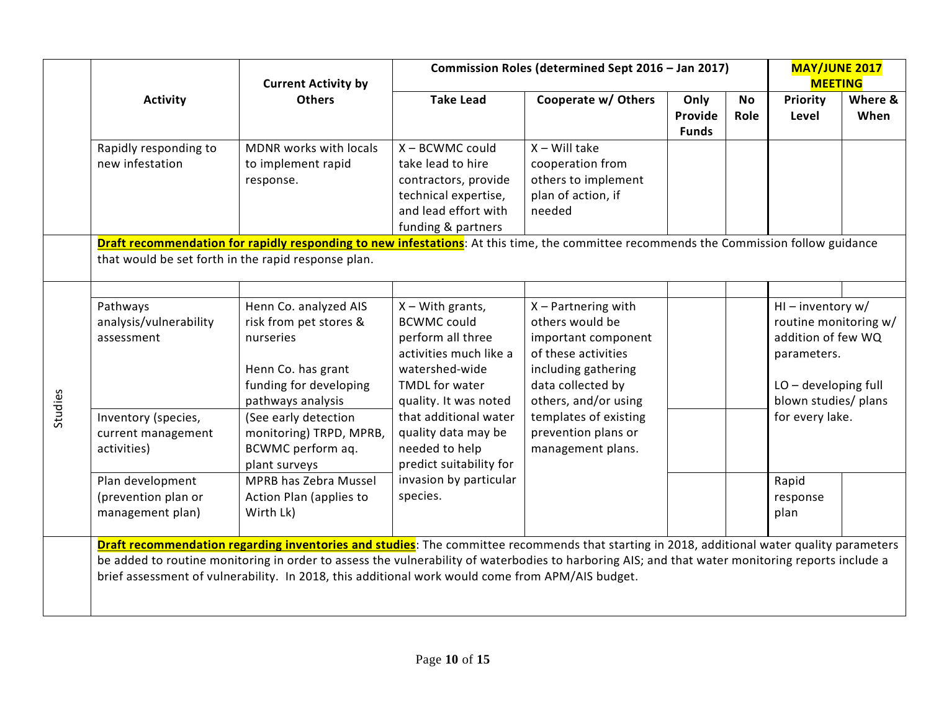|         |                                                             | <b>Current Activity by</b>                                                                                                                                                                                                                                                                                                                                                                          |                                                                                                                                                      | Commission Roles (determined Sept 2016 - Jan 2017)                                                                                                         |                                 |                   |                                                                                                                                                    | <b>MAY/JUNE 2017</b><br><b>MEETING</b> |
|---------|-------------------------------------------------------------|-----------------------------------------------------------------------------------------------------------------------------------------------------------------------------------------------------------------------------------------------------------------------------------------------------------------------------------------------------------------------------------------------------|------------------------------------------------------------------------------------------------------------------------------------------------------|------------------------------------------------------------------------------------------------------------------------------------------------------------|---------------------------------|-------------------|----------------------------------------------------------------------------------------------------------------------------------------------------|----------------------------------------|
|         | <b>Activity</b>                                             | <b>Others</b>                                                                                                                                                                                                                                                                                                                                                                                       | <b>Take Lead</b>                                                                                                                                     | Cooperate w/ Others                                                                                                                                        | Only<br>Provide<br><b>Funds</b> | <b>No</b><br>Role | <b>Priority</b><br>Level                                                                                                                           | Where &<br>When                        |
|         | Rapidly responding to<br>new infestation                    | MDNR works with locals<br>to implement rapid<br>response.                                                                                                                                                                                                                                                                                                                                           | X - BCWMC could<br>take lead to hire<br>contractors, provide<br>technical expertise,<br>and lead effort with<br>funding & partners                   | $X -$ Will take<br>cooperation from<br>others to implement<br>plan of action, if<br>needed                                                                 |                                 |                   |                                                                                                                                                    |                                        |
|         | that would be set forth in the rapid response plan.         | Draft recommendation for rapidly responding to new infestations: At this time, the committee recommends the Commission follow guidance                                                                                                                                                                                                                                                              |                                                                                                                                                      |                                                                                                                                                            |                                 |                   |                                                                                                                                                    |                                        |
| Studies | Pathways<br>analysis/vulnerability<br>assessment            | Henn Co. analyzed AIS<br>risk from pet stores &<br>nurseries<br>Henn Co. has grant<br>funding for developing<br>pathways analysis                                                                                                                                                                                                                                                                   | $X - With$ grants,<br><b>BCWMC could</b><br>perform all three<br>activities much like a<br>watershed-wide<br>TMDL for water<br>quality. It was noted | $X$ – Partnering with<br>others would be<br>important component<br>of these activities<br>including gathering<br>data collected by<br>others, and/or using |                                 |                   | HI - inventory $w/$<br>routine monitoring w/<br>addition of few WQ<br>parameters.<br>LO-developing full<br>blown studies/ plans<br>for every lake. |                                        |
|         | Inventory (species,<br>current management<br>activities)    | (See early detection<br>monitoring) TRPD, MPRB,<br>BCWMC perform aq.<br>plant surveys                                                                                                                                                                                                                                                                                                               | that additional water<br>quality data may be<br>needed to help<br>predict suitability for                                                            | templates of existing<br>prevention plans or<br>management plans.                                                                                          |                                 |                   |                                                                                                                                                    |                                        |
|         | Plan development<br>(prevention plan or<br>management plan) | <b>MPRB has Zebra Mussel</b><br>Action Plan (applies to<br>Wirth Lk)                                                                                                                                                                                                                                                                                                                                | invasion by particular<br>species.                                                                                                                   |                                                                                                                                                            |                                 |                   | Rapid<br>response<br>plan                                                                                                                          |                                        |
|         |                                                             | Draft recommendation regarding inventories and studies: The committee recommends that starting in 2018, additional water quality parameters<br>be added to routine monitoring in order to assess the vulnerability of waterbodies to harboring AIS; and that water monitoring reports include a<br>brief assessment of vulnerability. In 2018, this additional work would come from APM/AIS budget. |                                                                                                                                                      |                                                                                                                                                            |                                 |                   |                                                                                                                                                    |                                        |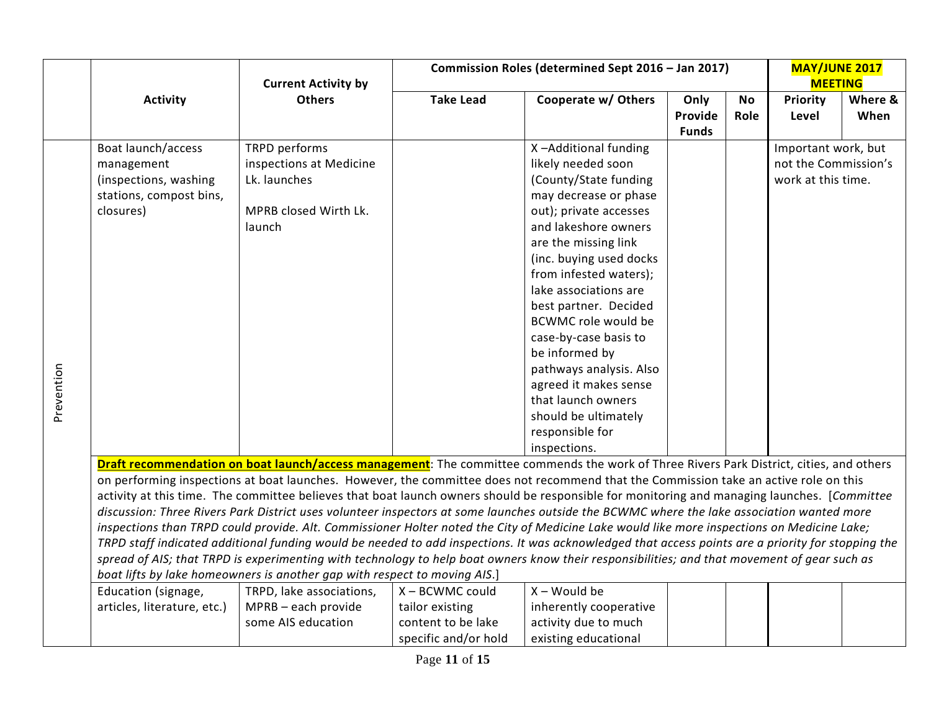|            | <b>Current Activity by</b>                                                                        |                                                                                                                                                                                                                                                                                                                                                                                                                                                                                                                                                                                                                                                                                                                                                                                                                                                                                                                                                                                                                                                                                                                                                                                            |                                                                                  | Commission Roles (determined Sept 2016 - Jan 2017)                                                                                                                                                                                                                                                                                                                                                                                                                                          |                                 |            | <b>MAY/JUNE 2017</b><br><b>MEETING</b>                            |                 |
|------------|---------------------------------------------------------------------------------------------------|--------------------------------------------------------------------------------------------------------------------------------------------------------------------------------------------------------------------------------------------------------------------------------------------------------------------------------------------------------------------------------------------------------------------------------------------------------------------------------------------------------------------------------------------------------------------------------------------------------------------------------------------------------------------------------------------------------------------------------------------------------------------------------------------------------------------------------------------------------------------------------------------------------------------------------------------------------------------------------------------------------------------------------------------------------------------------------------------------------------------------------------------------------------------------------------------|----------------------------------------------------------------------------------|---------------------------------------------------------------------------------------------------------------------------------------------------------------------------------------------------------------------------------------------------------------------------------------------------------------------------------------------------------------------------------------------------------------------------------------------------------------------------------------------|---------------------------------|------------|-------------------------------------------------------------------|-----------------|
|            | <b>Activity</b>                                                                                   | <b>Others</b>                                                                                                                                                                                                                                                                                                                                                                                                                                                                                                                                                                                                                                                                                                                                                                                                                                                                                                                                                                                                                                                                                                                                                                              | <b>Take Lead</b>                                                                 | Cooperate w/ Others                                                                                                                                                                                                                                                                                                                                                                                                                                                                         | Only<br>Provide<br><b>Funds</b> | No<br>Role | Priority<br>Level                                                 | Where &<br>When |
| Prevention | Boat launch/access<br>management<br>(inspections, washing<br>stations, compost bins,<br>closures) | TRPD performs<br>inspections at Medicine<br>Lk. launches<br>MPRB closed Wirth Lk.<br>launch                                                                                                                                                                                                                                                                                                                                                                                                                                                                                                                                                                                                                                                                                                                                                                                                                                                                                                                                                                                                                                                                                                |                                                                                  | X-Additional funding<br>likely needed soon<br>(County/State funding<br>may decrease or phase<br>out); private accesses<br>and lakeshore owners<br>are the missing link<br>(inc. buying used docks<br>from infested waters);<br>lake associations are<br>best partner. Decided<br><b>BCWMC role would be</b><br>case-by-case basis to<br>be informed by<br>pathways analysis. Also<br>agreed it makes sense<br>that launch owners<br>should be ultimately<br>responsible for<br>inspections. |                                 |            | Important work, but<br>not the Commission's<br>work at this time. |                 |
|            | Education (signage,<br>articles, literature, etc.)                                                | Draft recommendation on boat launch/access management: The committee commends the work of Three Rivers Park District, cities, and others<br>on performing inspections at boat launches. However, the committee does not recommend that the Commission take an active role on this<br>activity at this time. The committee believes that boat launch owners should be responsible for monitoring and managing launches. [Committee<br>discussion: Three Rivers Park District uses volunteer inspectors at some launches outside the BCWMC where the lake association wanted more<br>inspections than TRPD could provide. Alt. Commissioner Holter noted the City of Medicine Lake would like more inspections on Medicine Lake;<br>TRPD staff indicated additional funding would be needed to add inspections. It was acknowledged that access points are a priority for stopping the<br>spread of AIS; that TRPD is experimenting with technology to help boat owners know their responsibilities; and that movement of gear such as<br>boat lifts by lake homeowners is another gap with respect to moving AIS.]<br>TRPD, lake associations,<br>MPRB - each provide<br>some AIS education | X - BCWMC could<br>tailor existing<br>content to be lake<br>specific and/or hold | $X - Would be$<br>inherently cooperative<br>activity due to much<br>existing educational                                                                                                                                                                                                                                                                                                                                                                                                    |                                 |            |                                                                   |                 |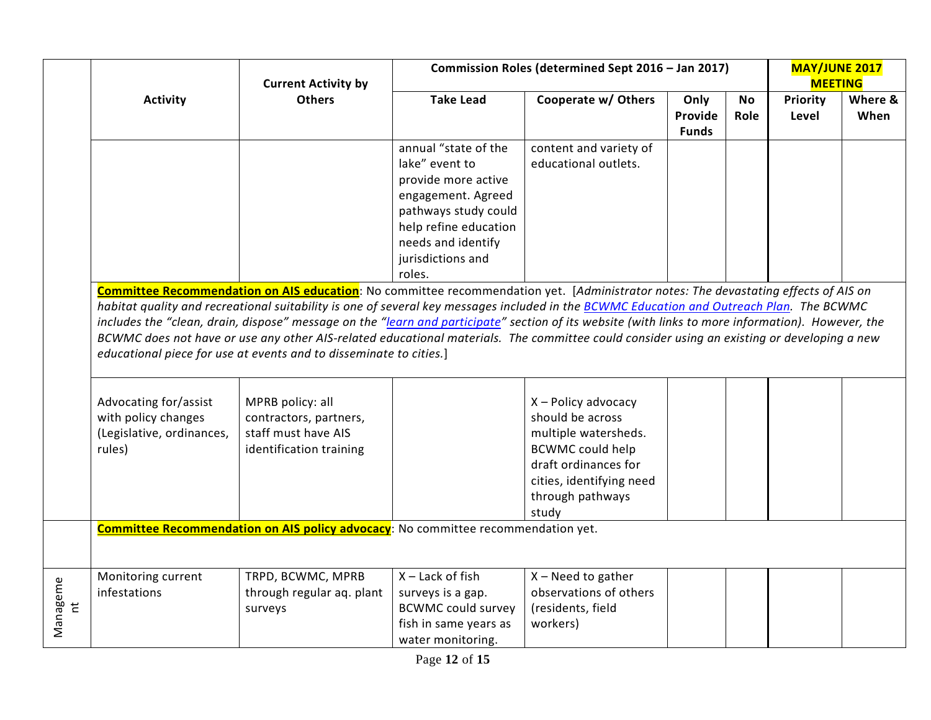|                            |                                                                                     | <b>Current Activity by</b>                                                                                                                                                                                                                                                                                                                                                                                                                                                                                                                                                                                                                               | Commission Roles (determined Sept 2016 - Jan 2017)                                                                                                                                        |                                                                                                                                                                             | <b>MAY/JUNE 2017</b><br><b>MEETING</b> |            |                   |                 |
|----------------------------|-------------------------------------------------------------------------------------|----------------------------------------------------------------------------------------------------------------------------------------------------------------------------------------------------------------------------------------------------------------------------------------------------------------------------------------------------------------------------------------------------------------------------------------------------------------------------------------------------------------------------------------------------------------------------------------------------------------------------------------------------------|-------------------------------------------------------------------------------------------------------------------------------------------------------------------------------------------|-----------------------------------------------------------------------------------------------------------------------------------------------------------------------------|----------------------------------------|------------|-------------------|-----------------|
|                            | <b>Activity</b>                                                                     | <b>Others</b>                                                                                                                                                                                                                                                                                                                                                                                                                                                                                                                                                                                                                                            | <b>Take Lead</b>                                                                                                                                                                          | Cooperate w/ Others                                                                                                                                                         | Only<br>Provide<br><b>Funds</b>        | No<br>Role | Priority<br>Level | Where &<br>When |
|                            |                                                                                     |                                                                                                                                                                                                                                                                                                                                                                                                                                                                                                                                                                                                                                                          | annual "state of the<br>lake" event to<br>provide more active<br>engagement. Agreed<br>pathways study could<br>help refine education<br>needs and identify<br>jurisdictions and<br>roles. | content and variety of<br>educational outlets.                                                                                                                              |                                        |            |                   |                 |
|                            |                                                                                     | Committee Recommendation on AIS education: No committee recommendation yet. [Administrator notes: The devastating effects of AIS on<br>habitat quality and recreational suitability is one of several key messages included in the BCWMC Education and Outreach Plan. The BCWMC<br>includes the "clean, drain, dispose" message on the "learn and participate" section of its website (with links to more information). However, the<br>BCWMC does not have or use any other AIS-related educational materials. The committee could consider using an existing or developing a new<br>educational piece for use at events and to disseminate to cities.] |                                                                                                                                                                                           |                                                                                                                                                                             |                                        |            |                   |                 |
|                            | Advocating for/assist<br>with policy changes<br>(Legislative, ordinances,<br>rules) | MPRB policy: all<br>contractors, partners,<br>staff must have AIS<br>identification training                                                                                                                                                                                                                                                                                                                                                                                                                                                                                                                                                             |                                                                                                                                                                                           | X - Policy advocacy<br>should be across<br>multiple watersheds.<br><b>BCWMC could help</b><br>draft ordinances for<br>cities, identifying need<br>through pathways<br>study |                                        |            |                   |                 |
|                            |                                                                                     | <b>Committee Recommendation on AIS policy advocacy:</b> No committee recommendation yet.                                                                                                                                                                                                                                                                                                                                                                                                                                                                                                                                                                 |                                                                                                                                                                                           |                                                                                                                                                                             |                                        |            |                   |                 |
| Manageme<br>$\overline{a}$ | Monitoring current<br>infestations                                                  | TRPD, BCWMC, MPRB<br>through regular aq. plant<br>surveys                                                                                                                                                                                                                                                                                                                                                                                                                                                                                                                                                                                                | $X -$ Lack of fish<br>surveys is a gap.<br><b>BCWMC could survey</b><br>fish in same years as<br>water monitoring.                                                                        | $X - Need$ to gather<br>observations of others<br>(residents, field<br>workers)                                                                                             |                                        |            |                   |                 |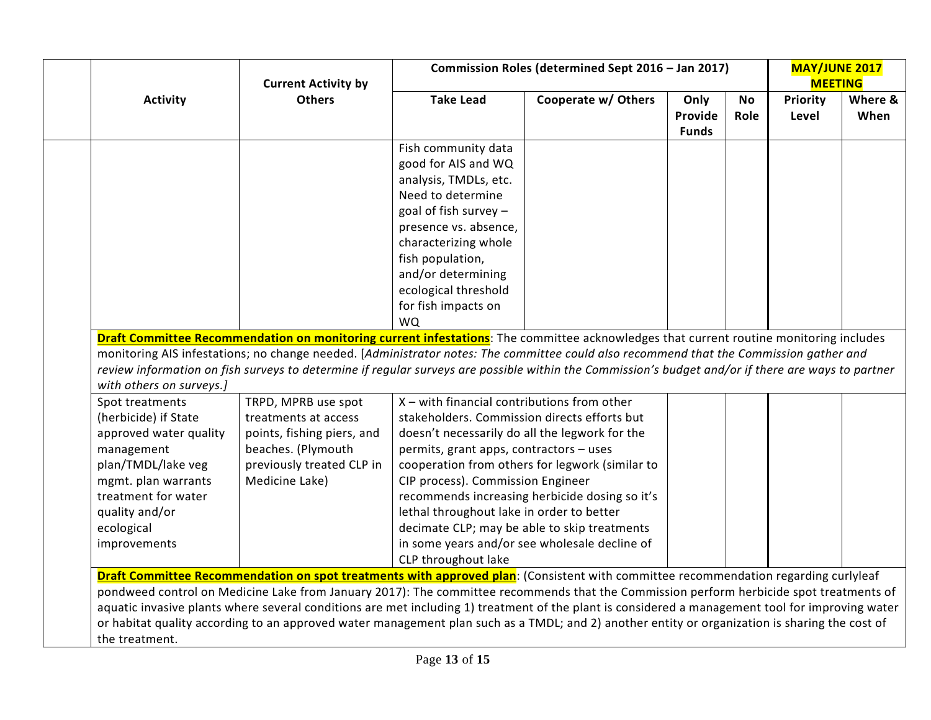|                                             | <b>Current Activity by</b>                                                                                                                       |                                                | Commission Roles (determined Sept 2016 - Jan 2017) |                                 |            | <b>MAY/JUNE 2017</b><br><b>MEETING</b> |                 |
|---------------------------------------------|--------------------------------------------------------------------------------------------------------------------------------------------------|------------------------------------------------|----------------------------------------------------|---------------------------------|------------|----------------------------------------|-----------------|
| <b>Activity</b>                             | <b>Others</b>                                                                                                                                    | <b>Take Lead</b>                               | Cooperate w/ Others                                | Only<br>Provide<br><b>Funds</b> | No<br>Role | Priority<br>Level                      | Where &<br>When |
|                                             |                                                                                                                                                  | Fish community data                            |                                                    |                                 |            |                                        |                 |
|                                             |                                                                                                                                                  | good for AIS and WQ                            |                                                    |                                 |            |                                        |                 |
|                                             |                                                                                                                                                  | analysis, TMDLs, etc.                          |                                                    |                                 |            |                                        |                 |
|                                             |                                                                                                                                                  | Need to determine                              |                                                    |                                 |            |                                        |                 |
|                                             |                                                                                                                                                  | goal of fish survey $-$                        |                                                    |                                 |            |                                        |                 |
|                                             |                                                                                                                                                  | presence vs. absence,                          |                                                    |                                 |            |                                        |                 |
|                                             |                                                                                                                                                  | characterizing whole                           |                                                    |                                 |            |                                        |                 |
|                                             |                                                                                                                                                  | fish population,                               |                                                    |                                 |            |                                        |                 |
|                                             |                                                                                                                                                  | and/or determining                             |                                                    |                                 |            |                                        |                 |
|                                             |                                                                                                                                                  | ecological threshold                           |                                                    |                                 |            |                                        |                 |
|                                             |                                                                                                                                                  | for fish impacts on                            |                                                    |                                 |            |                                        |                 |
|                                             |                                                                                                                                                  | <b>WO</b>                                      |                                                    |                                 |            |                                        |                 |
| with others on surveys.]<br>Spot treatments | TRPD, MPRB use spot                                                                                                                              | $X$ – with financial contributions from other  |                                                    |                                 |            |                                        |                 |
| (herbicide) if State                        | treatments at access                                                                                                                             | stakeholders. Commission directs efforts but   |                                                    |                                 |            |                                        |                 |
| approved water quality                      | points, fishing piers, and                                                                                                                       | doesn't necessarily do all the legwork for the |                                                    |                                 |            |                                        |                 |
| management                                  | beaches. (Plymouth                                                                                                                               | permits, grant apps, contractors - uses        |                                                    |                                 |            |                                        |                 |
| plan/TMDL/lake veg                          | previously treated CLP in                                                                                                                        |                                                | cooperation from others for legwork (similar to    |                                 |            |                                        |                 |
| mgmt. plan warrants                         | Medicine Lake)                                                                                                                                   | CIP process). Commission Engineer              |                                                    |                                 |            |                                        |                 |
| treatment for water                         |                                                                                                                                                  |                                                | recommends increasing herbicide dosing so it's     |                                 |            |                                        |                 |
| quality and/or                              |                                                                                                                                                  | lethal throughout lake in order to better      |                                                    |                                 |            |                                        |                 |
| ecological                                  |                                                                                                                                                  |                                                | decimate CLP; may be able to skip treatments       |                                 |            |                                        |                 |
| improvements                                |                                                                                                                                                  |                                                | in some years and/or see wholesale decline of      |                                 |            |                                        |                 |
|                                             |                                                                                                                                                  | CLP throughout lake                            |                                                    |                                 |            |                                        |                 |
|                                             | Draft Committee Recommendation on spot treatments with approved plan: (Consistent with committee recommendation regarding curlyleaf              |                                                |                                                    |                                 |            |                                        |                 |
|                                             | pondweed control on Medicine Lake from January 2017): The committee recommends that the Commission perform herbicide spot treatments of          |                                                |                                                    |                                 |            |                                        |                 |
|                                             | aquatic invasive plants where several conditions are met including 1) treatment of the plant is considered a management tool for improving water |                                                |                                                    |                                 |            |                                        |                 |
|                                             | or habitat quality according to an approved water management plan such as a TMDL; and 2) another entity or organization is sharing the cost of   |                                                |                                                    |                                 |            |                                        |                 |
| the treatment.                              |                                                                                                                                                  |                                                |                                                    |                                 |            |                                        |                 |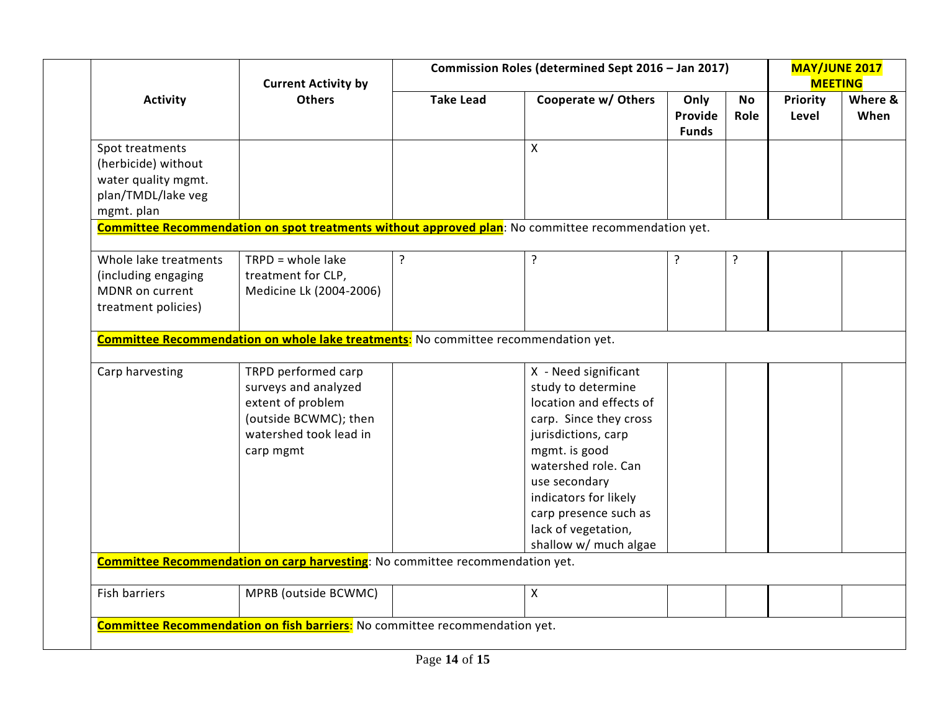|                                                                                                   | <b>Current Activity by</b>                                                                                                       |                  | Commission Roles (determined Sept 2016 - Jan 2017)                                                                                                                                                                                                                                |                                 |                   |                          |                 |  |  |  |  |  |  | <b>MAY/JUNE 2017</b><br><b>MEETING</b> |  |
|---------------------------------------------------------------------------------------------------|----------------------------------------------------------------------------------------------------------------------------------|------------------|-----------------------------------------------------------------------------------------------------------------------------------------------------------------------------------------------------------------------------------------------------------------------------------|---------------------------------|-------------------|--------------------------|-----------------|--|--|--|--|--|--|----------------------------------------|--|
| <b>Others</b><br><b>Activity</b>                                                                  |                                                                                                                                  | <b>Take Lead</b> | Cooperate w/ Others                                                                                                                                                                                                                                                               | Only<br>Provide<br><b>Funds</b> | <b>No</b><br>Role | <b>Priority</b><br>Level | Where &<br>When |  |  |  |  |  |  |                                        |  |
| Spot treatments<br>(herbicide) without<br>water quality mgmt.<br>plan/TMDL/lake veg<br>mgmt. plan |                                                                                                                                  |                  | X                                                                                                                                                                                                                                                                                 |                                 |                   |                          |                 |  |  |  |  |  |  |                                        |  |
|                                                                                                   |                                                                                                                                  |                  | Committee Recommendation on spot treatments without approved plan: No committee recommendation yet.                                                                                                                                                                               |                                 |                   |                          |                 |  |  |  |  |  |  |                                        |  |
| Whole lake treatments<br>(including engaging<br>MDNR on current<br>treatment policies)            | $TRPD = whole$ lake<br>treatment for CLP,<br>Medicine Lk (2004-2006)                                                             | ?                | ?                                                                                                                                                                                                                                                                                 | ?                               | ?                 |                          |                 |  |  |  |  |  |  |                                        |  |
|                                                                                                   | <b>Committee Recommendation on whole lake treatments:</b> No committee recommendation yet.                                       |                  |                                                                                                                                                                                                                                                                                   |                                 |                   |                          |                 |  |  |  |  |  |  |                                        |  |
|                                                                                                   |                                                                                                                                  |                  |                                                                                                                                                                                                                                                                                   |                                 |                   |                          |                 |  |  |  |  |  |  |                                        |  |
| Carp harvesting                                                                                   | TRPD performed carp<br>surveys and analyzed<br>extent of problem<br>(outside BCWMC); then<br>watershed took lead in<br>carp mgmt |                  | X - Need significant<br>study to determine<br>location and effects of<br>carp. Since they cross<br>jurisdictions, carp<br>mgmt. is good<br>watershed role. Can<br>use secondary<br>indicators for likely<br>carp presence such as<br>lack of vegetation,<br>shallow w/ much algae |                                 |                   |                          |                 |  |  |  |  |  |  |                                        |  |
|                                                                                                   | Committee Recommendation on carp harvesting: No committee recommendation yet.                                                    |                  |                                                                                                                                                                                                                                                                                   |                                 |                   |                          |                 |  |  |  |  |  |  |                                        |  |